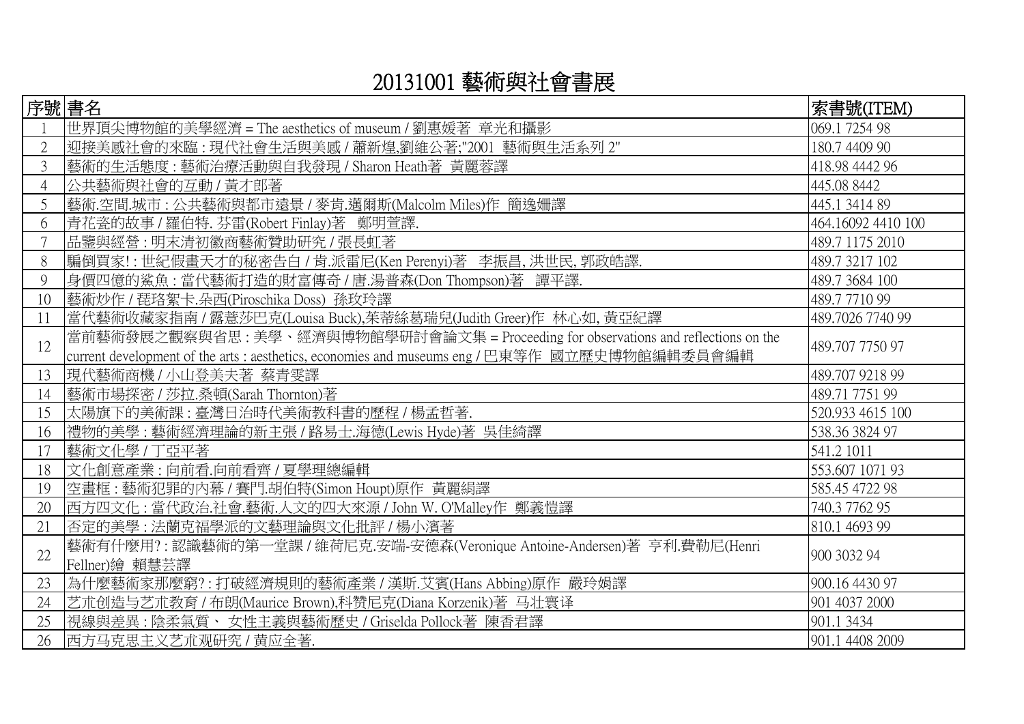## 20131001 藝術與社會書展

| 序號 書名          |                                                                                                                                                                                      | 索書號(ITEM)          |
|----------------|--------------------------------------------------------------------------------------------------------------------------------------------------------------------------------------|--------------------|
|                | 世界頂尖博物館的美學經濟 = The aesthetics of museum / 劉惠媛著 章光和攝影                                                                                                                                 | 069.1 7254 98      |
| $\overline{2}$ | 迎接美感社會的來臨:現代社會生活與美感 / 蕭新煌,劉維公著;"2001 藝術與生活系列 2"                                                                                                                                      | 180.7 4409 90      |
| 3              | 藝術的生活態度:藝術治療活動與自我發現 / Sharon Heath著 黃麗蓉譯                                                                                                                                             | 418.98 4442 96     |
| $\overline{4}$ | 公共藝術與社會的互動 / 黃才郎著                                                                                                                                                                    | 445.08 8442        |
| 5              | 藝術.空間.城市:公共藝術與都市遠景 / 麥肯.邁爾斯(Malcolm Miles)作 簡逸姍譯                                                                                                                                     | 445.1 3414 89      |
| 6              | 青花瓷的故事 / 羅伯特. 芬雷(Robert Finlay)著 鄭明萱譯.                                                                                                                                               | 464.16092 4410 100 |
|                | 品鑒與經營:明末清初徽商藝術贊助研究 / 張長虹著                                                                                                                                                            | 489.7 1175 2010    |
| 8              | 騙倒買家!:世紀假畫天才的秘密告白 / 肯.派雷尼(Ken Perenyi)著 李振昌,洪世民,郭政皓譯.                                                                                                                                | 489.7 3217 102     |
| 9              | 身價四億的鯊魚:當代藝術打造的財富傳奇 / 唐.湯普森(Don Thompson)著 譚平譯.                                                                                                                                      | 489.7 3684 100     |
| 10             | 藝術炒作 / 琵珞絮卡.朵西(Piroschika Doss) 孫玫玲譯                                                                                                                                                 | 489.7771099        |
| 11             | 當代藝術收藏家指南 / 露薏莎巴克(Louisa Buck),茱蒂絲葛瑞兒(Judith Greer)作 林心如, 黃亞紀譯                                                                                                                       | 489.7026 7740 99   |
| 12             | 當前藝術發展之觀察與省思: 美學、經濟與博物館學研討會論文集 = Proceeding for observations and reflections on the<br>current development of the arts : aesthetics, economies and museums eng / 巴東等作 國立歷史博物館編輯委員會編輯 | 489.707 7750 97    |
| 13             | 現代藝術商機/小山登美夫著 蔡青雯譯                                                                                                                                                                   | 489.707 9218 99    |
| 14             | 藝術市場探密 / 莎拉.桑頓(Sarah Thornton)著                                                                                                                                                      | 489.71 7751 99     |
| 15             | 太陽旗下的美術課:臺灣日治時代美術教科書的歷程 / 楊孟哲著.                                                                                                                                                      | 520.933 4615 100   |
| 16             | 禮物的美學:藝術經濟理論的新主張 / 路易士.海德(Lewis Hyde)著 吳佳綺譯                                                                                                                                          | 538.36 3824 97     |
| 17             | 藝術文化學 / 丁亞平著                                                                                                                                                                         | 541.2 1011         |
| 18             | 文化創意產業:向前看.向前看齊 / 夏學理總編輯                                                                                                                                                             | 553.607 1071 93    |
| 19             | 空畫框:藝術犯罪的內幕/賽門.胡伯特(Simon Houpt)原作 黃麗絹譯                                                                                                                                               | 585.45 4722 98     |
| 20             | 西方四文化:當代政治.社會.藝術.人文的四大來源 / John W. O'Malley作 鄭義愷譯                                                                                                                                    | 740.3 7762 95      |
| 21             | 否定的美學:法蘭克福學派的文藝理論與文化批評 / 楊小濱著                                                                                                                                                        | 810.1 4693 99      |
| 22             | 藝術有什麼用?:認識藝術的第一堂課 / 維荷尼克.安端-安德森(Veronique Antoine-Andersen)著 亨利.費勒尼(Henri<br>Fellner)繪 賴慧芸譯                                                                                          | 900 3032 94        |
| 23             | 為什麼藝術家那麼窮?:打破經濟規則的藝術產業 / 漢斯.艾賓(Hans Abbing)原作 嚴玲娟譯                                                                                                                                   | 900.16 4430 97     |
| 24             | 艺朮创造与艺朮教育 / 布朗(Maurice Brown),科赞尼克(Diana Korzenik)著 马壮寰译                                                                                                                             | 901 4037 2000      |
| 25             | 視線與差異:陰柔氣質、女性主義與藝術歷史 / Griselda Pollock著陳香君譯                                                                                                                                         | 901.1 3434         |
| 26             | 西方马克思主义艺朮观研究 / 黄应全著.                                                                                                                                                                 | 901.1 4408 2009    |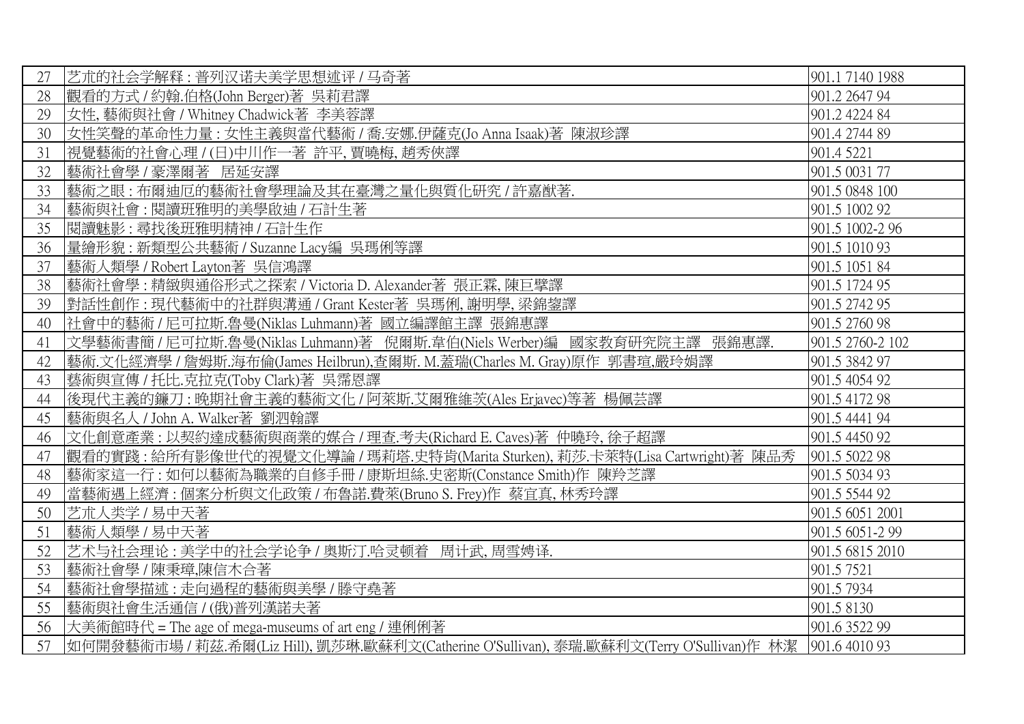| 27 | 艺术的社会学解释:普列汉诺夫美学思想述评 / 马奇著                                                                               | 901.1 7140 1988  |
|----|----------------------------------------------------------------------------------------------------------|------------------|
| 28 | 觀看的方式 / 約翰.伯格(John Berger)著 吳莉君譯                                                                         | 901.2 2647 94    |
| 29 | 女性, 藝術與社會 / Whitney Chadwick著 李美蓉譯                                                                       | 901.2 4224 84    |
| 30 | 女性笑聲的革命性力量: 女性主義與當代藝術 / 喬.安娜.伊薩克(Jo Anna Isaak)著 陳淑珍譯                                                    | 901.4 2744 89    |
| 31 | 視覺藝術的社會心理 / (日)中川作一著 許平, 賈曉梅, 趙秀俠譯                                                                       | 901.4 5221       |
| 32 | 藝術社會學 / 豪澤爾著 居延安譯                                                                                        | 901.5 0031 77    |
| 33 | 藝術之眼:布爾迪厄的藝術社會學理論及其在臺灣之量化與質化研究 / 許嘉猷著.                                                                   | 901.5 0848 100   |
| 34 | 藝術與社會:閱讀班雅明的美學啟迪 / 石計生著                                                                                  | 901.5 1002 92    |
| 35 | 閱讀魅影: 尋找後班雅明精神 / 石計生作                                                                                    | 901.5 1002-2 96  |
| 36 | 量繪形貌: 新類型公共藝術 / Suzanne Lacy編 吳瑪俐等譯                                                                      | 901.5 1010 93    |
| 37 | 藝術人類學 / Robert Layton著 吳信鴻譯                                                                              | 901.5 1051 84    |
| 38 | 藝術社會學:精緻與通俗形式之探索 / Victoria D. Alexander著 張正霖,陳巨擘譯                                                       | 901.5 1724 95    |
| 39 | 對話性創作:現代藝術中的社群與溝通 / Grant Kester著 吳瑪俐,謝明學,梁錦鋆譯                                                           | 901.5 2742 95    |
| 40 | 社會中的藝術 / 尼可拉斯.魯曼(Niklas Luhmann)著 國立編譯館主譯 張錦惠譯                                                           | 901.5 2760 98    |
| 41 | 文學藝術書簡 / 尼可拉斯.魯曼(Niklas Luhmann)著 倪爾斯.韋伯(Niels Werber)編 國家教育研究院主譯 張錦惠譯.                                  | 901.5 2760-2 102 |
| 42 | 藝術.文化經濟學 / 詹姆斯.海布倫(James Heilbrun),查爾斯. M.蓋瑞(Charles M. Gray)原作 郭書瑄,嚴玲娟譯                                 | 901.5 3842 97    |
| 43 | 藝術與宣傳 / 托比.克拉克(Toby Clark)著 吳霈恩譯                                                                         | 901.5 4054 92    |
| 44 | 後現代主義的鐮刀:晚期社會主義的藝術文化 / 阿萊斯.艾爾雅維茨(Ales Erjavec)等著 楊佩芸譯                                                    | 901.5 4172 98    |
| 45 | 藝術與名人 / John A. Walker著 劉泗翰譯                                                                             | 901.5 4441 94    |
| 46 | 文化創意產業:以契約達成藝術與商業的媒合 / 理查.考夫(Richard E. Caves)著 仲曉玲, 徐子超譯                                                | 901.5 4450 92    |
| 47 | 觀看的實踐:給所有影像世代的視覺文化導論 / 瑪莉塔.史特肯(Marita Sturken), 莉莎.卡萊特(Lisa Cartwright)著 陳品秀                             | 901.5 5022 98    |
| 48 | 藝術家這一行:如何以藝術為職業的自修手冊 / 康斯坦絲.史密斯(Constance Smith)作 陳羚芝譯                                                   | 901.5 5034 93    |
| 49 | 當藝術遇上經濟: 個案分析與文化政策 / 布魯諾.費萊(Bruno S. Frey)作 蔡宜真, 林秀玲譯                                                    | 901.5 5544 92    |
| 50 | 艺术人类学 / 易中天著                                                                                             | 901.5 6051 2001  |
| 51 | 藝術人類學 / 易中天著                                                                                             | 901.5 6051-2 99  |
| 52 | 艺术与社会理论:美学中的社会学论争 / 奥斯汀.哈灵顿着 周计武, 周雪娉译.                                                                  | 901.5 6815 2010  |
| 53 | 藝術社會學 / 陳秉璋,陳信木合著                                                                                        | 901.5 7521       |
| 54 | 藝術社會學描述:走向過程的藝術與美學/滕守堯著                                                                                  | 901.5 7934       |
| 55 | 藝術與社會生活通信 / (俄)普列漢諾夫著                                                                                    | 901.5 8130       |
| 56 | 大美術館時代 = The age of mega-museums of art eng / 連俐俐著                                                       | 901.6 3522 99    |
| 57 | 如何開發藝術市場 / 莉茲.希爾(Liz Hill), 凱莎琳.歐蘇利文(Catherine O'Sullivan), 泰瑞.歐蘇利文(Terry O'Sullivan)作 林潔  901.6 4010 93 |                  |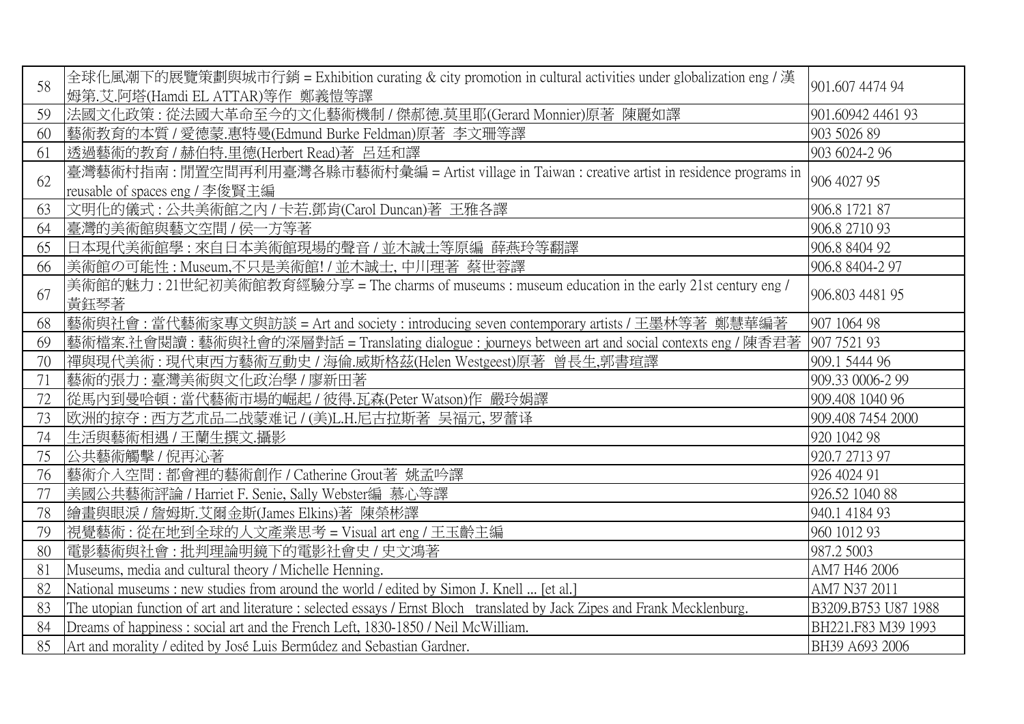| 58 | 全球化風潮下的展覽策劃與城市行銷 = Exhibition curating & city promotion in cultural activities under globalization eng / 漢<br>姆第.艾.阿塔(Hamdi EL ATTAR)等作 鄭義愷等譯 | 901.607 4474 94     |
|----|-----------------------------------------------------------------------------------------------------------------------------------------------|---------------------|
| 59 | 法國文化政策: 從法國大革命至今的文化藝術機制 / 傑郝德.莫里耶(Gerard Monnier)原著 陳麗如譯                                                                                      | 901.60942 4461 93   |
| 60 | 藝術教育的本質 / 愛德蒙.惠特曼(Edmund Burke Feldman)原著 李文珊等譯                                                                                               | 903 5026 89         |
| 61 | 透過藝術的教育 / 赫伯特.里德(Herbert Read)著 呂廷和譯                                                                                                          | 903 6024-2 96       |
| 62 | 臺灣藝術村指南 : 閒置空間再利用臺灣各縣市藝術村彙編 = Artist village in Taiwan : creative artist in residence programs in<br>reusable of spaces eng / 李俊賢主編           | 906 4027 95         |
| 63 | 文明化的儀式:公共美術館之內 / 卡若.鄧肯(Carol Duncan)著 王雅各譯                                                                                                    | 906.8 1721 87       |
| 64 | 臺灣的美術館與藝文空間 / 侯一方等著                                                                                                                           | 906.8 2710 93       |
| 65 | 日本現代美術館學:來自日本美術館現場的聲音/並木誠士等原編 薛燕玲等翻譯                                                                                                          | 906.8 8404 92       |
| 66 | 美術館の可能性 : Museum,不只是美術館! / 並木誠士, 中川理著 蔡世蓉譯                                                                                                    | 906.8 8404-2 97     |
| 67 | 美術館的魅力: 21世紀初美術館教育經驗分享 = The charms of museums: museum education in the early 21st century eng /<br>黃鈺琴著                                      | 906.803 4481 95     |
| 68 | <b>藝術與社會:當代藝術家專文與訪談 = Art and society : introducing seven contemporary artists / 王墨林等著 鄭慧華編著</b>                                              | 907 1064 98         |
| 69 | 藝術檔案.社會閱讀:藝術與社會的深層對話 = Translating dialogue : journeys between art and social contexts eng / 陳香君著                                             | 907 7521 93         |
| 70 | 禪與現代美術:現代東西方藝術互動史 / 海倫.威斯格茲(Helen Westgeest)原著 曾長生,郭書瑄譯                                                                                       | 909.1 5444 96       |
| 71 | 藝術的張力:臺灣美術與文化政治學 / 廖新田著                                                                                                                       | 909.33 0006-2 99    |
| 72 | 從馬內到曼哈頓:當代藝術市場的崛起 / 彼得.瓦森(Peter Watson)作 嚴玲娟譯                                                                                                 | 909.408 1040 96     |
| 73 | 欧洲的掠夺:西方艺术品二战蒙难记 / (美)L.H.尼古拉斯著 吴福元, 罗蕾译                                                                                                      | 909.408 7454 2000   |
| 74 | 生活與藝術相遇 / 王蘭生撰文.攝影                                                                                                                            | 920 1042 98         |
| 75 | 公共藝術觸擊 / 倪再沁著                                                                                                                                 | 920.7 2713 97       |
| 76 | 藝術介入空間:都會裡的藝術創作 / Catherine Grout著 姚孟吟譯                                                                                                       | 926 4024 91         |
| 77 | 美國公共藝術評論 / Harriet F. Senie, Sally Webster編 慕心等譯                                                                                              | 926.52 1040 88      |
| 78 | 繪畫與眼淚 / 詹姆斯.艾爾金斯(James Elkins)著陳榮彬譯                                                                                                           | 940.1 4184 93       |
| 79 | 視覺藝術:從在地到全球的人文產業思考 = Visual art eng / 王玉齡主編                                                                                                   | 960 1012 93         |
| 80 | 電影藝術與社會:批判理論明鏡下的電影社會史 / 史文鴻著                                                                                                                  | 987.2 5003          |
| 81 | Museums, media and cultural theory / Michelle Henning.                                                                                        | AM7 H46 2006        |
| 82 | National museums : new studies from around the world / edited by Simon J. Knell  [et al.]                                                     | AM7 N37 2011        |
| 83 | The utopian function of art and literature : selected essays / Ernst Bloch translated by Jack Zipes and Frank Mecklenburg.                    | B3209.B753 U87 1988 |
| 84 | Dreams of happiness: social art and the French Left, 1830-1850 / Neil McWilliam.                                                              | BH221.F83 M39 1993  |
| 85 | Art and morality / edited by José Luis Bermúdez and Sebastian Gardner.                                                                        | BH39 A693 2006      |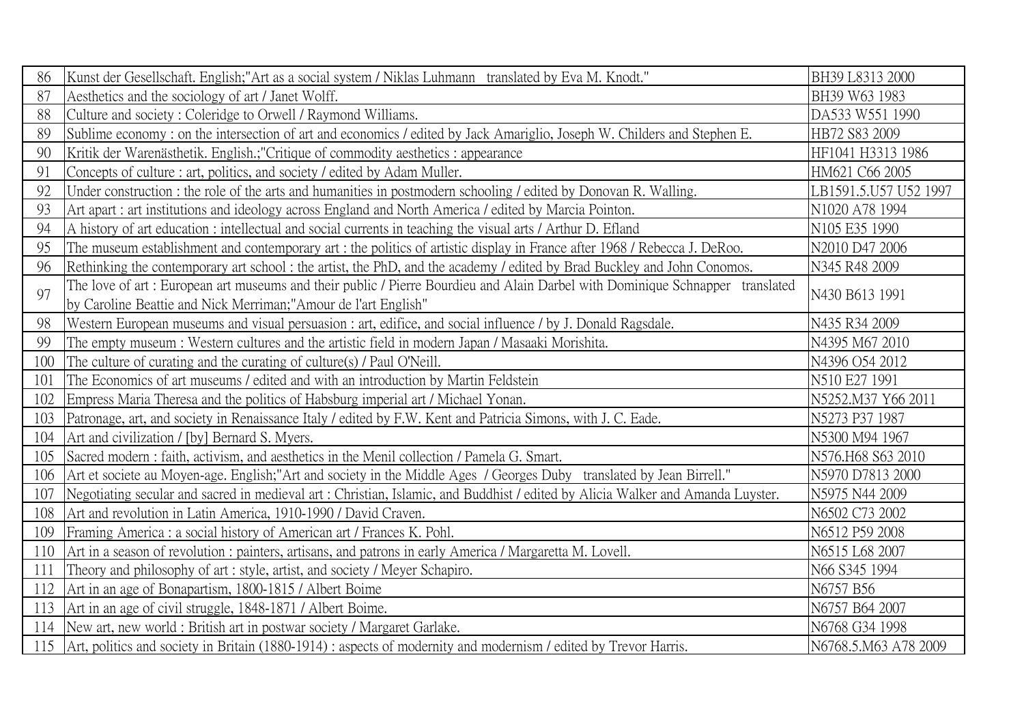| 86  | Kunst der Gesellschaft. English;"Art as a social system / Niklas Luhmann translated by Eva M. Knodt."                          | BH39 L8313 2000       |
|-----|--------------------------------------------------------------------------------------------------------------------------------|-----------------------|
| 87  | Aesthetics and the sociology of art / Janet Wolff.                                                                             | BH39 W63 1983         |
| 88  | Culture and society: Coleridge to Orwell / Raymond Williams.                                                                   | DA533 W551 1990       |
| 89  | Sublime economy: on the intersection of art and economics / edited by Jack Amariglio, Joseph W. Childers and Stephen E.        | HB72 S83 2009         |
| 90  | Kritik der Warenästhetik. English.; "Critique of commodity aesthetics: appearance                                              | HF1041 H3313 1986     |
| 91  | Concepts of culture : art, politics, and society / edited by Adam Muller.                                                      | HM621 C66 2005        |
| 92  | Under construction: the role of the arts and humanities in postmodern schooling / edited by Donovan R. Walling.                | LB1591.5.U57 U52 1997 |
| 93  | Art apart : art institutions and ideology across England and North America / edited by Marcia Pointon.                         | N1020 A78 1994        |
| 94  | A history of art education : intellectual and social currents in teaching the visual arts / Arthur D. Efland                   | N105 E35 1990         |
| 95  | The museum establishment and contemporary art : the politics of artistic display in France after 1968 / Rebecca J. DeRoo.      | N2010 D47 2006        |
| 96  | Rethinking the contemporary art school: the artist, the PhD, and the academy / edited by Brad Buckley and John Conomos.        | N345 R48 2009         |
| 97  | The love of art: European art museums and their public / Pierre Bourdieu and Alain Darbel with Dominique Schnapper translated  | N430 B613 1991        |
|     | by Caroline Beattie and Nick Merriman;"Amour de l'art English"                                                                 |                       |
| 98  | Western European museums and visual persuasion : art, edifice, and social influence / by J. Donald Ragsdale.                   | N435 R34 2009         |
| 99  | The empty museum: Western cultures and the artistic field in modern Japan / Masaaki Morishita.                                 | N4395 M67 2010        |
| 100 | The culture of curating and the curating of culture(s) / Paul O'Neill.                                                         | N4396 O54 2012        |
| 101 | The Economics of art museums / edited and with an introduction by Martin Feldstein                                             | N510 E27 1991         |
| 102 | Empress Maria Theresa and the politics of Habsburg imperial art / Michael Yonan.                                               | N5252.M37 Y66 2011    |
| 103 | Patronage, art, and society in Renaissance Italy / edited by F.W. Kent and Patricia Simons, with J. C. Eade.                   | N5273 P37 1987        |
| 104 | Art and civilization / [by] Bernard S. Myers.                                                                                  | N5300 M94 1967        |
| 105 | Sacred modern: faith, activism, and aesthetics in the Menil collection / Pamela G. Smart.                                      | N576.H68 S63 2010     |
| 106 | Art et societe au Moyen-age. English;"Art and society in the Middle Ages / Georges Duby translated by Jean Birrell."           | N5970 D7813 2000      |
| 107 | Negotiating secular and sacred in medieval art: Christian, Islamic, and Buddhist / edited by Alicia Walker and Amanda Luyster. | N5975 N44 2009        |
| 108 | Art and revolution in Latin America, 1910-1990 / David Craven.                                                                 | N6502 C73 2002        |
| 109 | Framing America : a social history of American art / Frances K. Pohl.                                                          | N6512 P59 2008        |
| 110 | Art in a season of revolution: painters, artisans, and patrons in early America / Margaretta M. Lovell.                        | N6515 L68 2007        |
| 111 | Theory and philosophy of art: style, artist, and society / Meyer Schapiro.                                                     | N66 S345 1994         |
| 112 | Art in an age of Bonapartism, 1800-1815 / Albert Boime                                                                         | N6757 B56             |
| 113 | Art in an age of civil struggle, 1848-1871 / Albert Boime.                                                                     | N6757 B64 2007        |
| 114 | New art, new world: British art in postwar society / Margaret Garlake.                                                         | N6768 G34 1998        |
| 115 | Art, politics and society in Britain (1880-1914) : aspects of modernity and modernism / edited by Trevor Harris.               | N6768.5.M63 A78 2009  |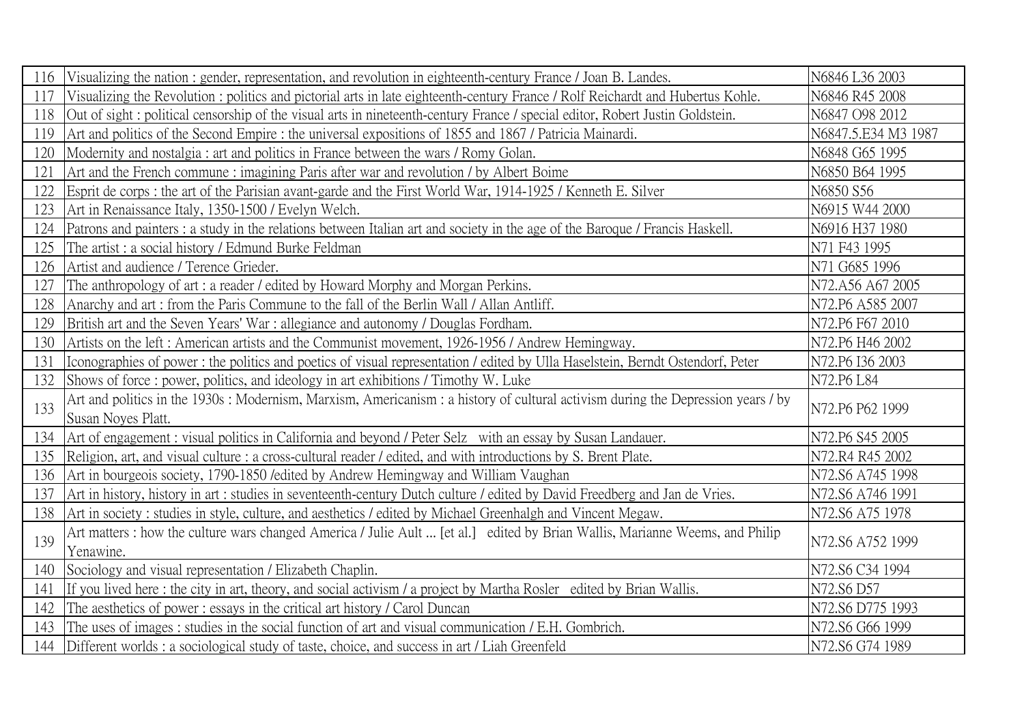| 116 | Visualizing the nation: gender, representation, and revolution in eighteenth-century France / Joan B. Landes.                                           | N6846 L36 2003      |
|-----|---------------------------------------------------------------------------------------------------------------------------------------------------------|---------------------|
| 117 | Visualizing the Revolution: politics and pictorial arts in late eighteenth-century France / Rolf Reichardt and Hubertus Kohle.                          | N6846 R45 2008      |
| 118 | Out of sight: political censorship of the visual arts in nineteenth-century France / special editor, Robert Justin Goldstein.                           | N6847 O98 2012      |
| 119 | Art and politics of the Second Empire: the universal expositions of 1855 and 1867 / Patricia Mainardi.                                                  | N6847.5.E34 M3 1987 |
| 120 | Modernity and nostalgia: art and politics in France between the wars / Romy Golan.                                                                      | N6848 G65 1995      |
| 121 | Art and the French commune: imagining Paris after war and revolution / by Albert Boime                                                                  | N6850 B64 1995      |
| 122 | Esprit de corps : the art of the Parisian avant-garde and the First World War, 1914-1925 / Kenneth E. Silver                                            | N6850 S56           |
| 123 | Art in Renaissance Italy, 1350-1500 / Evelyn Welch.                                                                                                     | N6915 W44 2000      |
| 124 | Patrons and painters : a study in the relations between Italian art and society in the age of the Baroque / Francis Haskell.                            | N6916 H37 1980      |
| 125 | The artist: a social history / Edmund Burke Feldman                                                                                                     | N71 F43 1995        |
| 126 | Artist and audience / Terence Grieder.                                                                                                                  | N71 G685 1996       |
| 127 | The anthropology of art : a reader / edited by Howard Morphy and Morgan Perkins.                                                                        | N72.A56 A67 2005    |
| 128 | Anarchy and art: from the Paris Commune to the fall of the Berlin Wall / Allan Antliff.                                                                 | N72.P6 A585 2007    |
| 129 | British art and the Seven Years' War : allegiance and autonomy / Douglas Fordham.                                                                       | N72.P6 F67 2010     |
| 130 | Artists on the left: American artists and the Communist movement, 1926-1956 / Andrew Hemingway.                                                         | N72.P6 H46 2002     |
| 131 | Iconographies of power: the politics and poetics of visual representation / edited by Ulla Haselstein, Berndt Ostendorf, Peter                          | N72.P6 I36 2003     |
| 132 | Shows of force: power, politics, and ideology in art exhibitions / Timothy W. Luke                                                                      | N72.P6 L84          |
| 133 | Art and politics in the 1930s : Modernism, Marxism, Americanism : a history of cultural activism during the Depression years / by<br>Susan Noyes Platt. | N72.P6 P62 1999     |
| 134 | Art of engagement: visual politics in California and beyond / Peter Selz with an essay by Susan Landauer.                                               | N72.P6 S45 2005     |
| 135 | Religion, art, and visual culture : a cross-cultural reader / edited, and with introductions by S. Brent Plate.                                         | N72.R4 R45 2002     |
| 136 | Art in bourgeois society, 1790-1850 / edited by Andrew Hemingway and William Vaughan                                                                    | N72.S6 A745 1998    |
| 137 | Art in history, history in art : studies in seventeenth-century Dutch culture / edited by David Freedberg and Jan de Vries.                             | N72.S6 A746 1991    |
| 138 | Art in society: studies in style, culture, and aesthetics / edited by Michael Greenhalgh and Vincent Megaw.                                             | N72.S6 A75 1978     |
| 139 | Art matters : how the culture wars changed America / Julie Ault  [et al.] edited by Brian Wallis, Marianne Weems, and Philip                            |                     |
|     | Yenawine.                                                                                                                                               | N72.S6 A752 1999    |
| 140 | Sociology and visual representation / Elizabeth Chaplin.                                                                                                | N72.S6 C34 1994     |
| 141 | If you lived here: the city in art, theory, and social activism / a project by Martha Rosler edited by Brian Wallis.                                    | N72.S6 D57          |
| 142 | The aesthetics of power: essays in the critical art history / Carol Duncan                                                                              | N72.S6 D775 1993    |
| 143 | The uses of images: studies in the social function of art and visual communication / E.H. Gombrich.                                                     | N72.S6 G66 1999     |
|     | 144 Different worlds: a sociological study of taste, choice, and success in art / Liah Greenfeld                                                        | N72.S6 G74 1989     |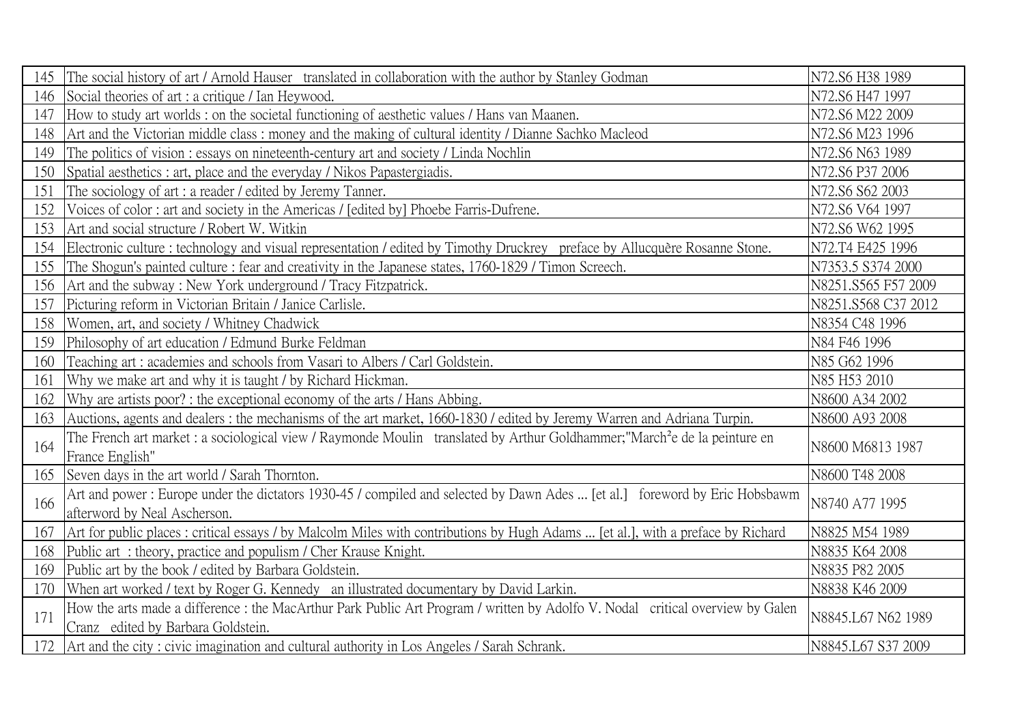| 145 | The social history of art / Arnold Hauser translated in collaboration with the author by Stanley Godman                                                              | N72.S6 H38 1989     |
|-----|----------------------------------------------------------------------------------------------------------------------------------------------------------------------|---------------------|
| 146 | Social theories of art : a critique / Ian Heywood.                                                                                                                   | N72.S6 H47 1997     |
| 147 | How to study art worlds: on the societal functioning of aesthetic values / Hans van Maanen.                                                                          | N72.S6 M22 2009     |
| 148 | Art and the Victorian middle class: money and the making of cultural identity / Dianne Sachko Macleod                                                                | N72.S6 M23 1996     |
| 149 | The politics of vision: essays on nineteenth-century art and society / Linda Nochlin                                                                                 | N72.S6 N63 1989     |
| 150 | Spatial aesthetics : art, place and the everyday / Nikos Papastergiadis.                                                                                             | N72.S6 P37 2006     |
| 151 | The sociology of art : a reader / edited by Jeremy Tanner.                                                                                                           | N72.S6 S62 2003     |
| 152 | Voices of color: art and society in the Americas / [edited by] Phoebe Farris-Dufrene.                                                                                | N72.S6 V64 1997     |
| 153 | Art and social structure / Robert W. Witkin                                                                                                                          | N72.S6 W62 1995     |
| 154 | Electronic culture : technology and visual representation / edited by Timothy Druckrey preface by Allucquère Rosanne Stone.                                          | N72.T4 E425 1996    |
| 155 | The Shogun's painted culture : fear and creativity in the Japanese states, 1760-1829 / Timon Screech.                                                                | N7353.5 S374 2000   |
| 156 | Art and the subway: New York underground / Tracy Fitzpatrick.                                                                                                        | N8251.S565 F57 2009 |
| 157 | Picturing reform in Victorian Britain / Janice Carlisle.                                                                                                             | N8251.S568 C37 2012 |
| 158 | Women, art, and society / Whitney Chadwick                                                                                                                           | N8354 C48 1996      |
| 159 | Philosophy of art education / Edmund Burke Feldman                                                                                                                   | N84 F46 1996        |
| 160 | Teaching art: academies and schools from Vasari to Albers / Carl Goldstein.                                                                                          | N85 G62 1996        |
| 161 | Why we make art and why it is taught / by Richard Hickman.                                                                                                           | N85 H53 2010        |
| 162 | Why are artists poor? : the exceptional economy of the arts / Hans Abbing.                                                                                           | N8600 A34 2002      |
| 163 | Auctions, agents and dealers: the mechanisms of the art market, 1660-1830 / edited by Jeremy Warren and Adriana Turpin.                                              | N8600 A93 2008      |
| 164 | The French art market: a sociological view / Raymonde Moulin translated by Arthur Goldhammer;"March <sup>2</sup> e de la peinture en<br>France English"              | N8600 M6813 1987    |
| 165 | Seven days in the art world / Sarah Thornton.                                                                                                                        | N8600 T48 2008      |
| 166 | Art and power: Europe under the dictators 1930-45 / compiled and selected by Dawn Ades  [et al.] foreword by Eric Hobsbawm<br>afterword by Neal Ascherson.           | N8740 A77 1995      |
| 167 | Art for public places: critical essays / by Malcolm Miles with contributions by Hugh Adams  [et al.], with a preface by Richard                                      | N8825 M54 1989      |
| 168 | Public art: theory, practice and populism / Cher Krause Knight.                                                                                                      | N8835 K64 2008      |
| 169 | Public art by the book / edited by Barbara Goldstein.                                                                                                                | N8835 P82 2005      |
| 170 | When art worked / text by Roger G. Kennedy an illustrated documentary by David Larkin.                                                                               | N8838 K46 2009      |
| 171 | How the arts made a difference : the MacArthur Park Public Art Program / written by Adolfo V. Nodal critical overview by Galen<br>Cranz edited by Barbara Goldstein. | N8845.L67 N62 1989  |
|     | 172 Art and the city: civic imagination and cultural authority in Los Angeles / Sarah Schrank.                                                                       | N8845.L67 S37 2009  |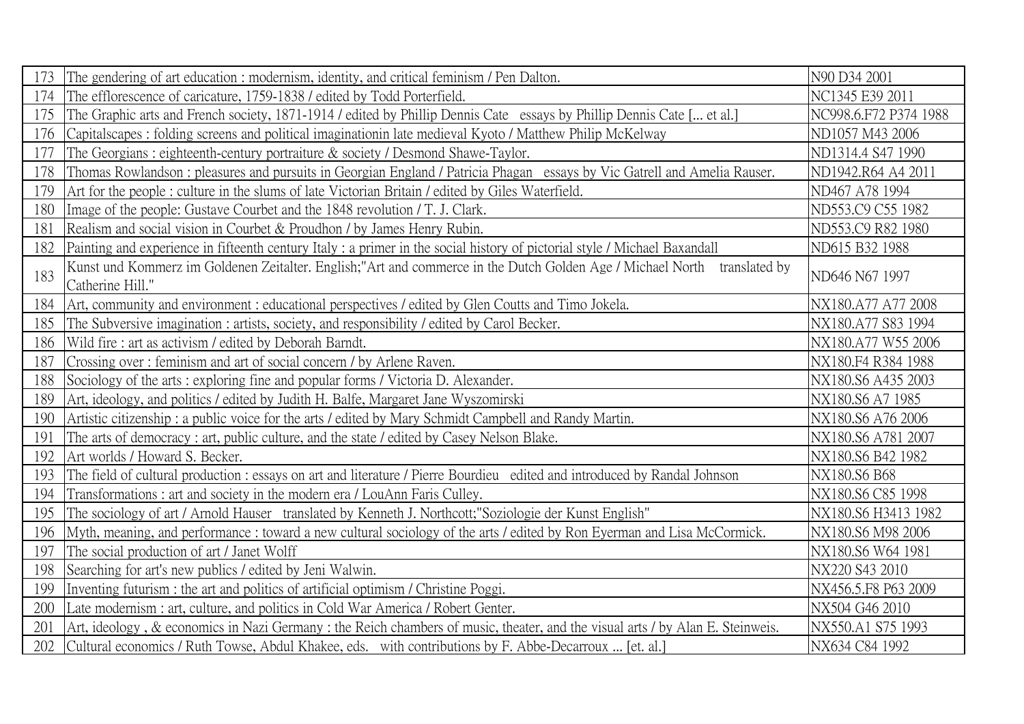| 173 | The gendering of art education: modernism, identity, and critical feminism / Pen Dalton.                                                     | N90 D34 2001          |
|-----|----------------------------------------------------------------------------------------------------------------------------------------------|-----------------------|
| 174 | The efflorescence of caricature, 1759-1838 / edited by Todd Porterfield.                                                                     | NC1345 E39 2011       |
| 175 | The Graphic arts and French society, 1871-1914 / edited by Phillip Dennis Cate essays by Phillip Dennis Cate [ et al.]                       | NC998.6.F72 P374 1988 |
| 176 | Capitalscapes: folding screens and political imaginationin late medieval Kyoto / Matthew Philip McKelway                                     | ND1057 M43 2006       |
| 177 | The Georgians: eighteenth-century portraiture & society / Desmond Shawe-Taylor.                                                              | ND1314.4 S47 1990     |
| 178 | Thomas Rowlandson: pleasures and pursuits in Georgian England / Patricia Phagan essays by Vic Gatrell and Amelia Rauser.                     | ND1942.R64 A4 2011    |
| 179 | Art for the people : culture in the slums of late Victorian Britain / edited by Giles Waterfield.                                            | ND467 A78 1994        |
| 180 | Image of the people: Gustave Courbet and the 1848 revolution / T. J. Clark.                                                                  | ND553.C9 C55 1982     |
| 181 | Realism and social vision in Courbet & Proudhon / by James Henry Rubin.                                                                      | ND553.C9 R82 1980     |
| 182 | Painting and experience in fifteenth century Italy: a primer in the social history of pictorial style / Michael Baxandall                    | ND615 B32 1988        |
| 183 | Kunst und Kommerz im Goldenen Zeitalter. English;"Art and commerce in the Dutch Golden Age / Michael North translated by<br>Catherine Hill." | ND646 N67 1997        |
| 184 | Art, community and environment : educational perspectives / edited by Glen Coutts and Timo Jokela.                                           | NX180.A77 A77 2008    |
| 185 | The Subversive imagination : artists, society, and responsibility / edited by Carol Becker.                                                  | NX180.A77 S83 1994    |
| 186 | Wild fire: art as activism / edited by Deborah Barndt.                                                                                       | NX180.A77 W55 2006    |
| 187 | Crossing over: feminism and art of social concern / by Arlene Raven.                                                                         | NX180.F4 R384 1988    |
| 188 | Sociology of the arts: exploring fine and popular forms / Victoria D. Alexander.                                                             | NX180.S6 A435 2003    |
| 189 | Art, ideology, and politics / edited by Judith H. Balfe, Margaret Jane Wyszomirski                                                           | NX180.S6 A7 1985      |
| 190 | Artistic citizenship: a public voice for the arts / edited by Mary Schmidt Campbell and Randy Martin.                                        | NX180.S6 A76 2006     |
| 191 | The arts of democracy: art, public culture, and the state / edited by Casey Nelson Blake.                                                    | NX180.S6 A781 2007    |
| 192 | Art worlds / Howard S. Becker.                                                                                                               | NX180.S6 B42 1982     |
| 193 | The field of cultural production : essays on art and literature / Pierre Bourdieu edited and introduced by Randal Johnson                    | NX180.S6 B68          |
| 194 | Transformations: art and society in the modern era / LouAnn Faris Culley.                                                                    | NX180.S6 C85 1998     |
| 195 | The sociology of art / Arnold Hauser translated by Kenneth J. Northcott; "Soziologie der Kunst English"                                      | NX180.S6 H3413 1982   |
| 196 | Myth, meaning, and performance: toward a new cultural sociology of the arts / edited by Ron Eyerman and Lisa McCormick.                      | NX180.S6 M98 2006     |
| 197 | The social production of art / Janet Wolff                                                                                                   | NX180.S6 W64 1981     |
| 198 | Searching for art's new publics / edited by Jeni Walwin.                                                                                     | NX220 S43 2010        |
| 199 | Inventing futurism : the art and politics of artificial optimism / Christine Poggi.                                                          | NX456.5.F8 P63 2009   |
| 200 | Late modernism : art, culture, and politics in Cold War America / Robert Genter.                                                             | NX504 G46 2010        |
| 201 | Art, ideology, & economics in Nazi Germany: the Reich chambers of music, theater, and the visual arts / by Alan E. Steinweis.                | NX550.A1 S75 1993     |
| 202 | [Cultural economics / Ruth Towse, Abdul Khakee, eds. with contributions by F. Abbe-Decarroux  [et. al.]                                      | NX634 C84 1992        |